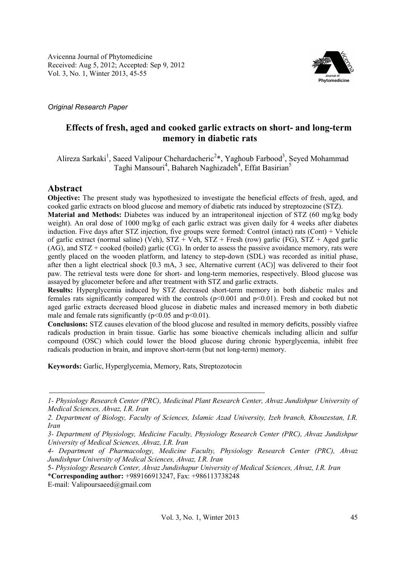Avicenna Journal of Phytomedicine Received: Aug 5, 2012; Accepted: Sep 9, 2012 Vol. 3, No. 1, Winter 2013, 45-55



*Original Research Paper* 

# **Effects of fresh, aged and cooked garlic extracts on short- and long-term memory in diabetic rats**

Alireza Sarkaki<sup>1</sup>, Saeed Valipour Chehardacheric<sup>2</sup>\*, Yaghoub Farbood<sup>3</sup>, Seyed Mohammad Taghi Mansouri<sup>4</sup>, Bahareh Naghizadeh<sup>4</sup>, Effat Basirian<sup>5</sup>

# **Abstract**

**Objective:** The present study was hypothesized to investigate the beneficial effects of fresh, aged, and cooked garlic extracts on blood glucose and memory of diabetic rats induced by streptozocine (STZ).

**Material and Methods:** Diabetes was induced by an intraperitoneal injection of STZ (60 mg/kg body weight). An oral dose of 1000 mg/kg of each garlic extract was given daily for 4 weeks after diabetes induction. Five days after STZ injection, five groups were formed: Control (intact) rats (Cont) + Vehicle of garlic extract (normal saline) (Veh), STZ + Veh, STZ + Fresh (row) garlic (FG), STZ + Aged garlic (AG), and STZ + cooked (boiled) garlic (CG). In order to assess the passive avoidance memory, rats were gently placed on the wooden platform, and latency to step-down (SDL) was recorded as initial phase, after then a light electrical shock [0.3 mA, 3 sec, Alternative current (AC)] was delivered to their foot paw. The retrieval tests were done for short- and long-term memories, respectively. Blood glucose was assayed by glucometer before and after treatment with STZ and garlic extracts.

**Results:** Hyperglycemia induced by STZ decreased short-term memory in both diabetic males and females rats significantly compared with the controls  $(p<0.001$  and  $p<0.01$ ). Fresh and cooked but not aged garlic extracts decreased blood glucose in diabetic males and increased memory in both diabetic male and female rats significantly ( $p<0.05$  and  $p<0.01$ ).

**Conclusions:** STZ causes elevation of the blood glucose and resulted in memory deficits, possibly viafree radicals production in brain tissue. Garlic has some bioactive chemicals including allicin and sulfur compound (OSC) which could lower the blood glucose during chronic hyperglycemia, inhibit free radicals production in brain, and improve short-term (but not long-term) memory.

**Keywords:** Garlic, Hyperglycemia, Memory, Rats, Streptozotocin

E-mail: Valipoursaeed@gmail.com

*<sup>1-</sup> Physiology Research Center (PRC), Medicinal Plant Research Center, Ahvaz Jundishpur University of Medical Sciences, Ahvaz, I.R. Iran* 

*<sup>2.</sup> Department of Biology, Faculty of Sciences, Islamic Azad University, Izeh branch, Khouzestan, I.R. Iran* 

*<sup>3-</sup> Department of Physiology, Medicine Faculty, Physiology Research Center (PRC), Ahvaz Jundishpur University of Medical Sciences, Ahvaz, I.R. Iran* 

*<sup>4-</sup> Department of Pharmacology, Medicine Faculty, Physiology Research Center (PRC), Ahvaz Jundishpur University of Medical Sciences, Ahvaz, I.R. Iran* 

<sup>5-</sup> *Physiology Research Center, Ahvaz Jundishapur University of Medical Sciences, Ahvaz, I.R. Iran* \***Corresponding author:** +989166913247, Fax: +986113738248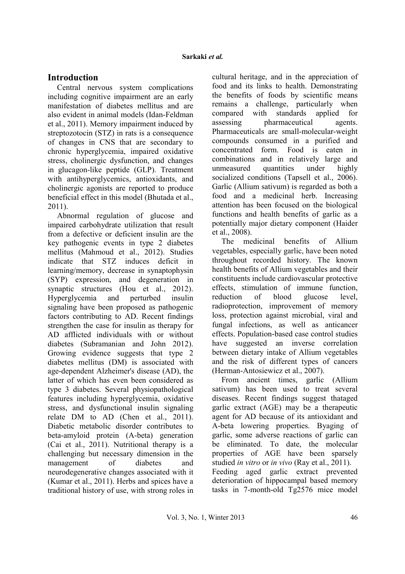## **Introduction**

Central nervous system complications including cognitive impairment are an early manifestation of diabetes mellitus and are also evident in animal models (Idan-Feldman et al., 2011). Memory impairment induced by streptozotocin (STZ) in rats is a consequence of changes in CNS that are secondary to chronic hyperglycemia, impaired oxidative stress, cholinergic dysfunction, and changes in glucagon-like peptide (GLP). Treatment with antihyperglycemics, antioxidants, and cholinergic agonists are reported to produce beneficial effect in this model (Bhutada et al., 2011).

Abnormal regulation of glucose and impaired carbohydrate utilization that result from a defective or deficient insulin are the key pathogenic events in type 2 diabetes mellitus (Mahmoud et al., 2012). Studies indicate that STZ induces deficit in learning/memory, decrease in synaptophysin (SYP) expression, and degeneration in synaptic structures (Hou et al., 2012). Hyperglycemia and perturbed insulin signaling have been proposed as pathogenic factors contributing to AD. Recent findings strengthen the case for insulin as therapy for AD afflicted individuals with or without diabetes (Subramanian and John 2012). Growing evidence suggests that type 2 diabetes mellitus (DM) is associated with age-dependent Alzheimer's disease (AD), the latter of which has even been considered as type 3 diabetes. Several physiopathological features including hyperglycemia, oxidative stress, and dysfunctional insulin signaling relate DM to AD (Chen et al., 2011). Diabetic metabolic disorder contributes to beta-amyloid protein (A-beta) generation (Cai et al., 2011). Nutritional therapy is a challenging but necessary dimension in the management of diabetes and neurodegenerative changes associated with it (Kumar et al., 2011). Herbs and spices have a traditional history of use, with strong roles in cultural heritage, and in the appreciation of food and its links to health. Demonstrating the benefits of foods by scientific means remains a challenge, particularly when compared with standards applied for assessing pharmaceutical agents. Pharmaceuticals are small-molecular-weight compounds consumed in a purified and concentrated form. Food is eaten in combinations and in relatively large and unmeasured quantities under highly socialized conditions (Tapsell et al., 2006). Garlic (Allium sativum) is regarded as both a food and a medicinal herb. Increasing attention has been focused on the biological functions and health benefits of garlic as a potentially major dietary component (Haider et al., 2008).

The medicinal benefits of Allium vegetables, especially garlic, have been noted throughout recorded history. The known health benefits of Allium vegetables and their constituents include cardiovascular protective effects, stimulation of immune function, reduction of blood glucose level, radioprotection, improvement of memory loss, protection against microbial, viral and fungal infections, as well as anticancer effects. Population-based case control studies have suggested an inverse correlation between dietary intake of Allium vegetables and the risk of different types of cancers (Herman-Antosiewicz et al., 2007).

From ancient times, garlic (Allium sativum) has been used to treat several diseases. Recent findings suggest thataged garlic extract (AGE) may be a therapeutic agent for AD because of its antioxidant and A-beta lowering properties. Byaging of garlic, some adverse reactions of garlic can be eliminated. To date, the molecular properties of AGE have been sparsely studied *in vitro* or *in vivo* (Ray et al., 2011). Feeding aged garlic extract prevented deterioration of hippocampal based memory tasks in 7-month-old Tg2576 mice model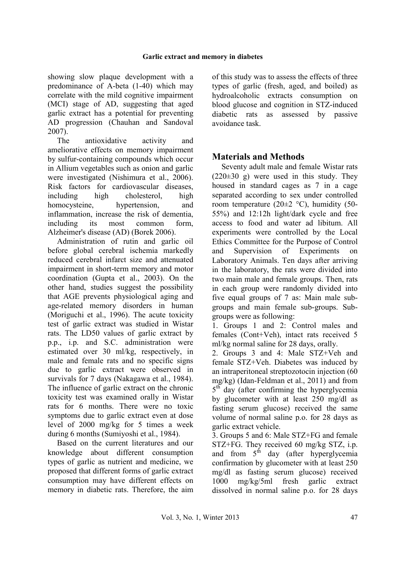showing slow plaque development with a predominance of A-beta (1-40) which may correlate with the mild cognitive impairment (MCI) stage of AD, suggesting that aged garlic extract has a potential for preventing AD progression (Chauhan and Sandoval 2007).

The antioxidative activity and ameliorative effects on memory impairment by sulfur-containing compounds which occur in Allium vegetables such as onion and garlic were investigated (Nishimura et al., 2006). Risk factors for cardiovascular diseases, including high cholesterol, high homocysteine, hypertension, and inflammation, increase the risk of dementia, including its most common form, Alzheimer's disease (AD) (Borek 2006).

Administration of rutin and garlic oil before global cerebral ischemia markedly reduced cerebral infarct size and attenuated impairment in short-term memory and motor coordination (Gupta et al., 2003). On the other hand, studies suggest the possibility that AGE prevents physiological aging and age-related memory disorders in human (Moriguchi et al., 1996). The acute toxicity test of garlic extract was studied in Wistar rats. The LD50 values of garlic extract by p.p., i.p. and S.C. administration were estimated over 30 ml/kg, respectively, in male and female rats and no specific signs due to garlic extract were observed in survivals for 7 days (Nakagawa et al., 1984). The influence of garlic extract on the chronic toxicity test was examined orally in Wistar rats for 6 months. There were no toxic symptoms due to garlic extract even at dose level of 2000 mg/kg for 5 times a week during 6 months (Sumiyoshi et al., 1984).

Based on the current literatures and our knowledge about different consumption types of garlic as nutrient and medicine, we proposed that different forms of garlic extract consumption may have different effects on memory in diabetic rats. Therefore, the aim

of this study was to assess the effects of three types of garlic (fresh, aged, and boiled) as hydroalcoholic extracts consumption on blood glucose and cognition in STZ-induced diabetic rats as assessed by passive avoidance task.

# **Materials and Methods**

Seventy adult male and female Wistar rats  $(220\pm30)$  g) were used in this study. They housed in standard cages as 7 in a cage separated according to sex under controlled room temperature (20 $\pm$ 2 °C), humidity (50-55%) and 12:12h light/dark cycle and free access to food and water ad libitum. All experiments were controlled by the Local Ethics Committee for the Purpose of Control and Supervision of Experiments on Laboratory Animals. Ten days after arriving in the laboratory, the rats were divided into two main male and female groups. Then, rats in each group were randomly divided into five equal groups of 7 as: Main male subgroups and main female sub-groups. Subgroups were as following:

1. Groups 1 and 2: Control males and females (Cont+Veh), intact rats received 5 ml/kg normal saline for 28 days, orally.

2. Groups 3 and 4: Male STZ+Veh and female STZ+Veh. Diabetes was induced by an intraperitoneal streptozotocin injection (60 mg/kg) (Idan-Feldman et al., 2011) and from 5<sup>th</sup> day (after confirming the hyperglycemia by glucometer with at least 250 mg/dl as fasting serum glucose) received the same volume of normal saline p.o. for 28 days as garlic extract vehicle.

3. Groups 5 and 6: Male STZ+FG and female STZ+FG. They received 60 mg/kg STZ, i.p. and from  $5<sup>th</sup>$  day (after hyperglycemia confirmation by glucometer with at least 250 mg/dl as fasting serum glucose) received 1000 mg/kg/5ml fresh garlic extract dissolved in normal saline p.o. for 28 days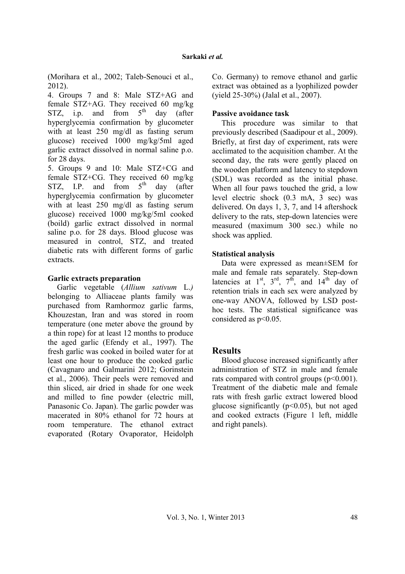(Morihara et al., 2002; Taleb-Senouci et al., 2012).

4. Groups 7 and 8: Male STZ+AG and female STZ+AG. They received 60 mg/kg STZ, i.p. and from  $5<sup>th</sup>$  day (after hyperglycemia confirmation by glucometer with at least 250 mg/dl as fasting serum glucose) received 1000 mg/kg/5ml aged garlic extract dissolved in normal saline p.o. for 28 days.

5. Groups 9 and 10: Male STZ+CG and female STZ+CG. They received 60 mg/kg STZ, I.P. and from  $5<sup>th</sup>$  day (after hyperglycemia confirmation by glucometer with at least 250 mg/dl as fasting serum glucose) received 1000 mg/kg/5ml cooked (boild) garlic extract dissolved in normal saline p.o. for 28 days. Blood glucose was measured in control, STZ, and treated diabetic rats with different forms of garlic extracts.

#### **Garlic extracts preparation**

Garlic vegetable (*Allium sativum* L.*)* belonging to Alliaceae plants family was purchased from Ramhormoz garlic farms, Khouzestan, Iran and was stored in room temperature (one meter above the ground by a thin rope) for at least 12 months to produce the aged garlic (Efendy et al., 1997). The fresh garlic was cooked in boiled water for at least one hour to produce the cooked garlic (Cavagnaro and Galmarini 2012; Gorinstein et al., 2006). Their peels were removed and thin sliced, air dried in shade for one week and milled to fine powder (electric mill, Panasonic Co. Japan). The garlic powder was macerated in 80% ethanol for 72 hours at room temperature. The ethanol extract evaporated (Rotary Ovaporator, Heidolph

Co. Germany) to remove ethanol and garlic extract was obtained as a lyophilized powder (yield 25-30%) (Jalal et al., 2007).

### **Passive avoidance task**

This procedure was similar to that previously described (Saadipour et al., 2009). Briefly, at first day of experiment, rats were acclimated to the acquisition chamber. At the second day, the rats were gently placed on the wooden platform and latency to stepdown (SDL) was recorded as the initial phase. When all four paws touched the grid, a low level electric shock (0.3 mA, 3 sec) was delivered. On days 1, 3, 7, and 14 aftershock delivery to the rats, step-down latencies were measured (maximum 300 sec.) while no shock was applied.

#### **Statistical analysis**

Data were expressed as mean±SEM for male and female rats separately. Step-down latencies at  $1^{st}$ ,  $3^{rd}$ ,  $7^{th}$ , and  $14^{th}$  day of retention trials in each sex were analyzed by one-way ANOVA, followed by LSD posthoc tests. The statistical significance was considered as  $p<0.05$ .

### **Results**

Blood glucose increased significantly after administration of STZ in male and female rats compared with control groups  $(p<0.001)$ . Treatment of the diabetic male and female rats with fresh garlic extract lowered blood glucose significantly  $(p<0.05)$ , but not aged and cooked extracts (Figure 1 left, middle and right panels).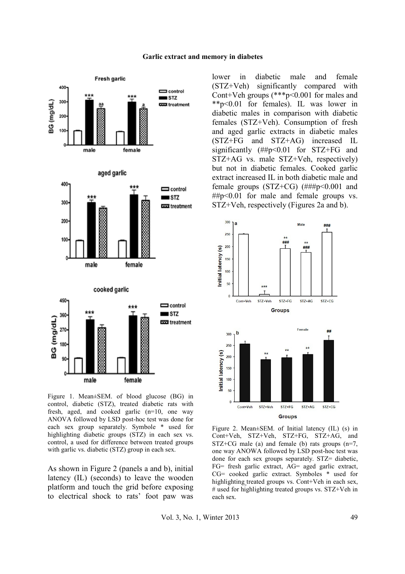#### **Garlic extract and memory in diabetes**



Figure 1. Mean±SEM. of blood glucose (BG) in control, diabetic (STZ), treated diabetic rats with fresh, aged, and cooked garlic (n=10, one way ANOVA followed by LSD post-hoc test was done for each sex group separately. Symbole \* used for highlighting diabetic groups (STZ) in each sex vs. control, a used for difference between treated groups with garlic vs. diabetic (STZ) group in each sex.

As shown in Figure 2 (panels a and b), initial latency (IL) (seconds) to leave the wooden platform and touch the grid before exposing to electrical shock to rats' foot paw was lower in diabetic male and female (STZ+Veh) significantly compared with Cont+Veh groups (\*\*\*p<0.001 for males and \*\*p<0.01 for females). IL was lower in diabetic males in comparison with diabetic females (STZ+Veh). Consumption of fresh and aged garlic extracts in diabetic males (STZ+FG and STZ+AG) increased IL significantly (##p<0.01 for STZ+FG and STZ+AG vs. male STZ+Veh, respectively) but not in diabetic females. Cooked garlic extract increased IL in both diabetic male and female groups (STZ+CG) (###p<0.001 and ##p<0.01 for male and female groups vs. STZ+Veh, respectively (Figures 2a and b).



Figure 2. Mean±SEM. of Initial latency (IL) (s) in Cont+Veh, STZ+Veh, STZ+FG, STZ+AG, and  $STZ+CG$  male (a) and female (b) rats groups (n=7, one way ANOWA followed by LSD post-hoc test was done for each sex groups separately. STZ= diabetic, FG= fresh garlic extract, AG= aged garlic extract, CG= cooked garlic extract. Symboles \* used for highlighting treated groups vs. Cont+Veh in each sex, # used for highlighting treated groups vs. STZ+Veh in each sex.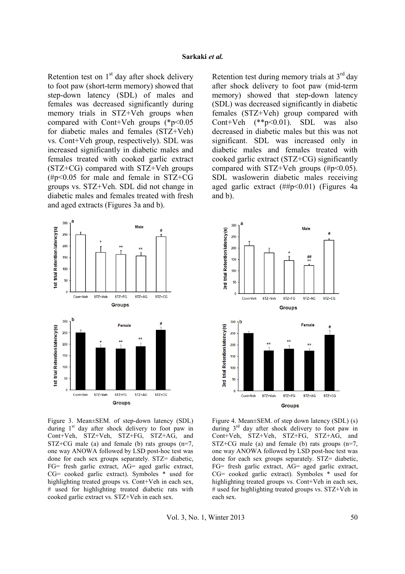Retention test on  $1<sup>st</sup>$  day after shock delivery to foot paw (short-term memory) showed that step-down latency (SDL) of males and females was decreased significantly during memory trials in STZ+Veh groups when compared with Cont+Veh groups  $(*p<0.05$ for diabetic males and females (STZ+Veh) vs. Cont+Veh group, respectively). SDL was increased significantly in diabetic males and females treated with cooked garlic extract (STZ+CG) compared with STZ+Veh groups  $(\text{\#p}<0.05$  for male and female in STZ+CG groups vs. STZ+Veh. SDL did not change in diabetic males and females treated with fresh and aged extracts (Figures 3a and b).



Figure 3. Mean±SEM. of step-down latency (SDL) during  $1<sup>st</sup>$  day after shock delivery to foot paw in Cont+Veh, STZ+Veh, STZ+FG, STZ+AG, and STZ+CG male (a) and female (b) rats groups  $(n=7)$ , one way ANOWA followed by LSD post-hoc test was done for each sex groups separately. STZ= diabetic, FG= fresh garlic extract, AG= aged garlic extract, CG= cooked garlic extract). Symboles \* used for highlighting treated groups vs. Cont+Veh in each sex, # used for highlighting treated diabetic rats with cooked garlic extract vs. STZ+Veh in each sex.

Retention test during memory trials at  $3<sup>rd</sup>$  day after shock delivery to foot paw (mid-term memory) showed that step-down latency (SDL) was decreased significantly in diabetic females (STZ+Veh) group compared with Cont+Veh (\*\*p<0.01). SDL was also decreased in diabetic males but this was not significant. SDL was increased only in diabetic males and females treated with cooked garlic extract (STZ+CG) significantly compared with STZ+Veh groups  $(\#p<0.05)$ . SDL waslowerin diabetic males receiving aged garlic extract  $(\# \# p \le 0.01)$  (Figures 4a and b).



Figure 4. Mean±SEM. of step down latency (SDL) (s) during  $3<sup>rd</sup>$  day after shock delivery to foot paw in Cont+Veh, STZ+Veh, STZ+FG, STZ+AG, and  $STZ+CG$  male (a) and female (b) rats groups (n=7, one way ANOWA followed by LSD post-hoc test was done for each sex groups separately. STZ= diabetic, FG= fresh garlic extract, AG= aged garlic extract, CG= cooked garlic extract). Symboles \* used for highlighting treated groups vs. Cont+Veh in each sex, # used for highlighting treated groups vs. STZ+Veh in each sex.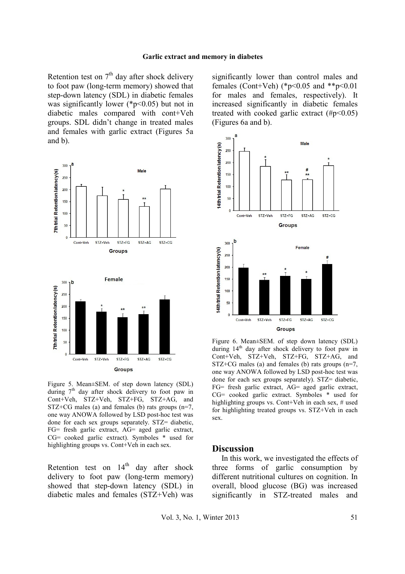Retention test on  $7<sup>th</sup>$  day after shock delivery to foot paw (long-term memory) showed that step-down latency (SDL) in diabetic females was significantly lower ( $p<0.05$ ) but not in diabetic males compared with cont+Veh groups. SDL didn't change in treated males and females with garlic extract (Figures 5a and b).



Figure 5. Mean±SEM. of step down latency (SDL) during  $7<sup>th</sup>$  day after shock delivery to foot paw in Cont+Veh, STZ+Veh, STZ+FG, STZ+AG, and  $STZ+CG$  males (a) and females (b) rats groups (n=7, one way ANOWA followed by LSD post-hoc test was done for each sex groups separately. STZ= diabetic, FG= fresh garlic extract, AG= aged garlic extract, CG= cooked garlic extract). Symboles \* used for highlighting groups vs. Cont+Veh in each sex.

Retention test on  $14<sup>th</sup>$  day after shock delivery to foot paw (long-term memory) showed that step-down latency (SDL) in diabetic males and females (STZ+Veh) was significantly lower than control males and females (Cont+Veh) (\*p<0.05 and \*\*p<0.01 for males and females, respectively). It increased significantly in diabetic females treated with cooked garlic extract  $(\text{Hp} < 0.05)$ (Figures 6a and b).



Figure 6. Mean±SEM. of step down latency (SDL) during  $14<sup>th</sup>$  day after shock delivery to foot paw in Cont+Veh, STZ+Veh, STZ+FG, STZ+AG, and  $STZ+CG$  males (a) and females (b) rats groups (n=7, one way ANOWA followed by LSD post-hoc test was done for each sex groups separately). STZ= diabetic, FG= fresh garlic extract, AG= aged garlic extract, CG= cooked garlic extract. Symboles \* used for highlighting groups vs. Cont+Veh in each sex, # used for highlighting treated groups vs. STZ+Veh in each sex.

#### **Discussion**

In this work, we investigated the effects of three forms of garlic consumption by different nutritional cultures on cognition. In overall, blood glucose (BG) was increased significantly in STZ-treated males and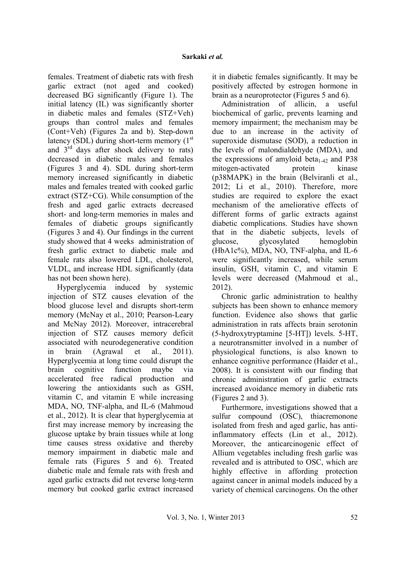females. Treatment of diabetic rats with fresh garlic extract (not aged and cooked) decreased BG significantly (Figure 1). The initial latency (IL) was significantly shorter in diabetic males and females (STZ+Veh) groups than control males and females (Cont+Veh) (Figures 2a and b). Step-down latency (SDL) during short-term memory  $(1<sup>st</sup>)$ and  $3^{rd}$  days after shock delivery to rats) decreased in diabetic males and females (Figures 3 and 4). SDL during short-term memory increased significantly in diabetic males and females treated with cooked garlic extract (STZ+CG). While consumption of the fresh and aged garlic extracts decreased short- and long-term memories in males and females of diabetic groups significantly (Figures 3 and 4). Our findings in the current study showed that 4 weeks administration of fresh garlic extract to diabetic male and female rats also lowered LDL, cholesterol, VLDL, and increase HDL significantly (data has not been shown here).

Hyperglycemia induced by systemic injection of STZ causes elevation of the blood glucose level and disrupts short-term memory (McNay et al., 2010; Pearson-Leary and McNay 2012). Moreover, intracerebral injection of STZ causes memory deficit associated with neurodegenerative condition in brain (Agrawal et al., 2011). Hyperglycemia at long time could disrupt the brain cognitive function maybe via accelerated free radical production and lowering the antioxidants such as GSH, vitamin C, and vitamin E while increasing MDA, NO, TNF-alpha, and IL-6 (Mahmoud et al., 2012). It is clear that hyperglycemia at first may increase memory by increasing the glucose uptake by brain tissues while at long time causes stress oxidative and thereby memory impairment in diabetic male and female rats (Figures 5 and 6). Treated diabetic male and female rats with fresh and aged garlic extracts did not reverse long-term memory but cooked garlic extract increased it in diabetic females significantly. It may be positively affected by estrogen hormone in brain as a neuroprotector (Figures 5 and 6).

Administration of allicin, a useful biochemical of garlic, prevents learning and memory impairment; the mechanism may be due to an increase in the activity of superoxide dismutase (SOD), a reduction in the levels of malondialdehyde (MDA), and the expressions of amyloid beta<sub>1-42</sub> and P38 mitogen-activated protein kinase (p38MAPK) in the brain (Belviranli et al., 2012; Li et al., 2010). Therefore, more studies are required to explore the exact mechanism of the ameliorative effects of different forms of garlic extracts against diabetic complications. Studies have shown that in the diabetic subjects, levels of glucose, glycosylated hemoglobin (HbA1c%), MDA, NO, TNF-alpha, and IL-6 were significantly increased, while serum insulin, GSH, vitamin C, and vitamin E levels were decreased (Mahmoud et al., 2012).

Chronic garlic administration to healthy subjects has been shown to enhance memory function. Evidence also shows that garlic administration in rats affects brain serotonin (5-hydroxytryptamine [5-HT]) levels. 5-HT, a neurotransmitter involved in a number of physiological functions, is also known to enhance cognitive performance (Haider et al., 2008). It is consistent with our finding that chronic administration of garlic extracts increased avoidance memory in diabetic rats (Figures 2 and 3).

Furthermore, investigations showed that a sulfur compound (OSC), thiacremonone isolated from fresh and aged garlic, has antiinflammatory effects (Lin et al., 2012). Moreover, the anticarcinogenic effect of Allium vegetables including fresh garlic was revealed and is attributed to OSC, which are highly effective in affording protection against cancer in animal models induced by a variety of chemical carcinogens. On the other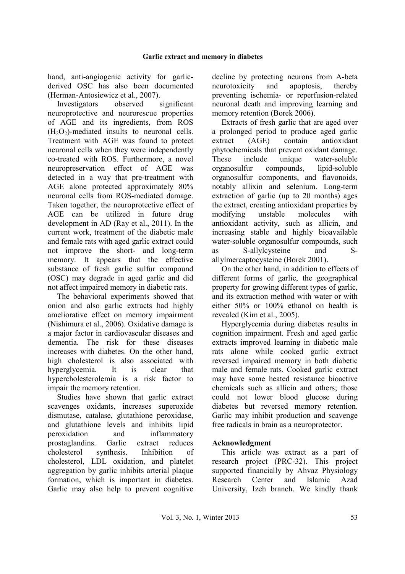hand, anti-angiogenic activity for garlicderived OSC has also been documented (Herman-Antosiewicz et al., 2007).

Investigators observed significant neuroprotective and neurorescue properties of AGE and its ingredients, from ROS  $(H<sub>2</sub>O<sub>2</sub>)$ -mediated insults to neuronal cells. Treatment with AGE was found to protect neuronal cells when they were independently co-treated with ROS. Furthermore, a novel neuropreservation effect of AGE was detected in a way that pre-treatment with AGE alone protected approximately 80% neuronal cells from ROS-mediated damage. Taken together, the neuroprotective effect of AGE can be utilized in future drug development in AD (Ray et al., 2011). In the current work, treatment of the diabetic male and female rats with aged garlic extract could not improve the short- and long-term memory. It appears that the effective substance of fresh garlic sulfur compound (OSC) may degrade in aged garlic and did not affect impaired memory in diabetic rats.

The behavioral experiments showed that onion and also garlic extracts had highly ameliorative effect on memory impairment (Nishimura et al., 2006). Oxidative damage is a major factor in cardiovascular diseases and dementia. The risk for these diseases increases with diabetes. On the other hand, high cholesterol is also associated with hyperglycemia. It is clear that hypercholesterolemia is a risk factor to impair the memory retention.

Studies have shown that garlic extract scavenges oxidants, increases superoxide dismutase, catalase, glutathione peroxidase, and glutathione levels and inhibits lipid peroxidation and inflammatory prostaglandins. Garlic extract reduces cholesterol synthesis. Inhibition of cholesterol, LDL oxidation, and platelet aggregation by garlic inhibits arterial plaque formation, which is important in diabetes. Garlic may also help to prevent cognitive decline by protecting neurons from A-beta neurotoxicity and apoptosis, thereby preventing ischemia- or reperfusion-related neuronal death and improving learning and memory retention (Borek 2006).

Extracts of fresh garlic that are aged over a prolonged period to produce aged garlic extract (AGE) contain antioxidant phytochemicals that prevent oxidant damage. These include unique water-soluble organosulfur compounds, lipid-soluble organosulfur components, and flavonoids, notably allixin and selenium. Long-term extraction of garlic (up to 20 months) ages the extract, creating antioxidant properties by modifying unstable molecules with antioxidant activity, such as allicin, and increasing stable and highly bioavailable water-soluble organosulfur compounds, such as S-allylcysteine and Sallylmercaptocysteine (Borek 2001).

On the other hand, in addition to effects of different forms of garlic, the geographical property for growing different types of garlic, and its extraction method with water or with either 50% or 100% ethanol on health is revealed (Kim et al., 2005).

Hyperglycemia during diabetes results in cognition impairment. Fresh and aged garlic extracts improved learning in diabetic male rats alone while cooked garlic extract reversed impaired memory in both diabetic male and female rats. Cooked garlic extract may have some heated resistance bioactive chemicals such as allicin and others; those could not lower blood glucose during diabetes but reversed memory retention. Garlic may inhibit production and scavenge free radicals in brain as a neuroprotector.

## **Acknowledgment**

This article was extract as a part of research project (PRC-32). This project supported financially by Ahvaz Physiology Research Center and Islamic Azad University, Izeh branch. We kindly thank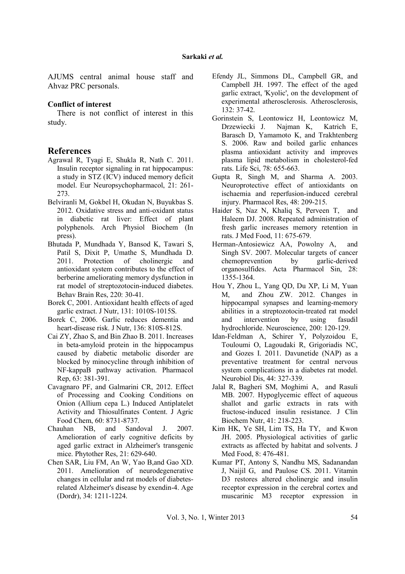AJUMS central animal house staff and Ahvaz PRC personals.

#### **Conflict of interest**

There is not conflict of interest in this study.

## **References**

- Agrawal R, Tyagi E, Shukla R, Nath C. 2011. Insulin receptor signaling in rat hippocampus: a study in STZ (ICV) induced memory deficit model. Eur Neuropsychopharmacol, 21: 261- 273.
- Belviranli M, Gokbel H, Okudan N, Buyukbas S. 2012. Oxidative stress and anti-oxidant status in diabetic rat liver: Effect of plant polyphenols. Arch Physiol Biochem (In press).
- Bhutada P, Mundhada Y, Bansod K, Tawari S, Patil S, Dixit P, Umathe S, Mundhada D.<br>2011. Protection of cholinergic and Protection of cholinergic and antioxidant system contributes to the effect of berberine ameliorating memory dysfunction in rat model of streptozotocin-induced diabetes. Behav Brain Res, 220: 30-41.
- Borek C, 2001. Antioxidant health effects of aged garlic extract. J Nutr, 131: 1010S-1015S.
- Borek C, 2006. Garlic reduces dementia and heart-disease risk. J Nutr, 136: 810S-812S.
- Cai ZY, Zhao S, and Bin Zhao B. 2011. Increases in beta-amyloid protein in the hippocampus caused by diabetic metabolic disorder are blocked by minocycline through inhibition of NF-kappaB pathway activation. Pharmacol Rep, 63: 381-391.
- Cavagnaro PF, and Galmarini CR, 2012. Effect of Processing and Cooking Conditions on Onion (Allium cepa L.) Induced Antiplatelet Activity and Thiosulfinates Content. J Agric Food Chem, 60: 8731-8737.
- Chauhan NB, and Sandoval J. 2007. Amelioration of early cognitive deficits by aged garlic extract in Alzheimer's transgenic mice. Phytother Res, 21: 629-640.
- Chen SAR, Liu FM, An W, Yao B,and Gao XD. 2011. Amelioration of neurodegenerative changes in cellular and rat models of diabetesrelated Alzheimer's disease by exendin-4. Age (Dordr), 34: 1211-1224.
- Efendy JL, Simmons DL, Campbell GR, and Campbell JH. 1997. The effect of the aged garlic extract, 'Kyolic', on the development of experimental atherosclerosis. Atherosclerosis, 132: 37-42.
- Gorinstein S, Leontowicz H, Leontowicz M, Drzewiecki J. Najman K, Katrich E, Barasch D, Yamamoto K, and Trakhtenberg S. 2006. Raw and boiled garlic enhances plasma antioxidant activity and improves plasma lipid metabolism in cholesterol-fed rats. Life Sci, 78: 655-663.
- Gupta R, Singh M, and Sharma A. 2003. Neuroprotective effect of antioxidants on ischaemia and reperfusion-induced cerebral injury. Pharmacol Res, 48: 209-215.
- Haider S, Naz N, Khaliq S, Perveen T, and Haleem DJ. 2008. Repeated administration of fresh garlic increases memory retention in rats. J Med Food, 11: 675-679.
- Herman-Antosiewicz AA, Powolny A, and Singh SV. 2007. Molecular targets of cancer chemoprevention by garlic-derived organosulfides. Acta Pharmacol Sin, 28: 1355-1364.
- Hou Y, Zhou L, Yang QD, Du XP, Li M, Yuan M, and Zhou ZW. 2012. Changes in hippocampal synapses and learning-memory abilities in a streptozotocin-treated rat model and intervention by using fasudil hydrochloride. Neuroscience, 200: 120-129.
- Idan-Feldman A, Schirer Y, Polyzoidou E, Touloumi O, Lagoudaki R, Grigoriadis NC, and Gozes I. 2011. Davunetide (NAP) as a preventative treatment for central nervous system complications in a diabetes rat model. Neurobiol Dis, 44: 327-339.
- Jalal R, Bagheri SM, Moghimi A, and Rasuli MB. 2007. Hypoglycemic effect of aqueous shallot and garlic extracts in rats with fructose-induced insulin resistance. J Clin Biochem Nutr, 41: 218-223.
- Kim HK, Ye SH, Lim TS, Ha TY, and Kwon JH. 2005. Physiological activities of garlic extracts as affected by habitat and solvents. J Med Food, 8: 476-481.
- Kumar PT, Antony S, Nandhu MS, Sadanandan J, Naijil G, and Paulose CS. 2011. Vitamin D3 restores altered cholinergic and insulin receptor expression in the cerebral cortex and muscarinic M3 receptor expression in